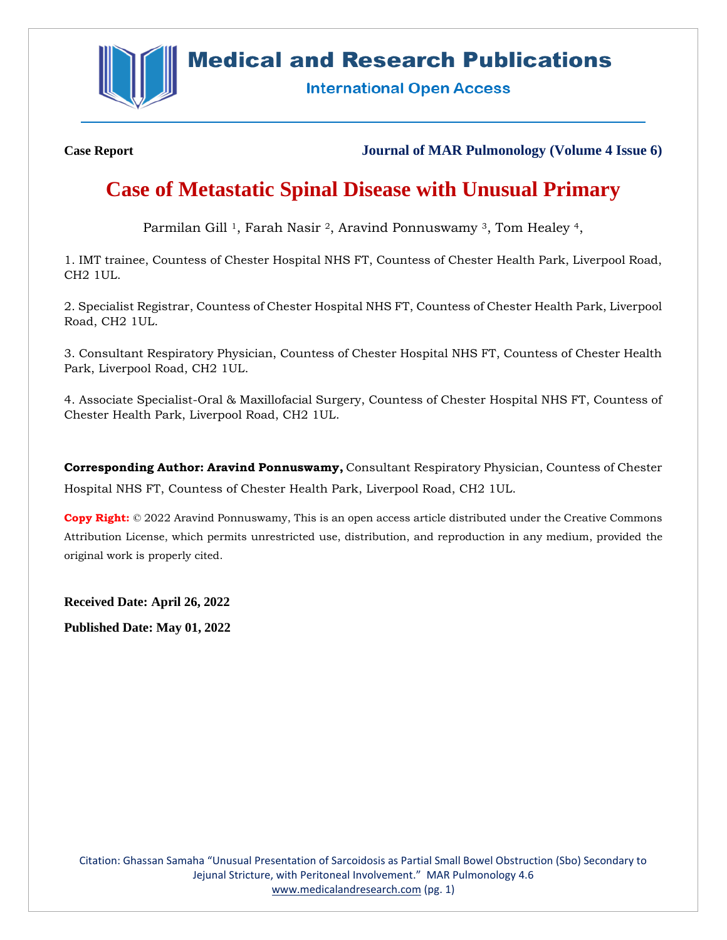

## **Medical and Research Publications**

**International Open Access** 

**Case Report Journal of MAR Pulmonology (Volume 4 Issue 6)**

# **Case of Metastatic Spinal Disease with Unusual Primary**

Parmilan Gill<sup>1</sup>, Farah Nasir<sup>2</sup>, Aravind Ponnuswamy<sup>3</sup>, Tom Healey<sup>4</sup>,

1. IMT trainee, Countess of Chester Hospital NHS FT, Countess of Chester Health Park, Liverpool Road, CH2 1UL.

2. Specialist Registrar, Countess of Chester Hospital NHS FT, Countess of Chester Health Park, Liverpool Road, CH2 1UL.

3. Consultant Respiratory Physician, Countess of Chester Hospital NHS FT, Countess of Chester Health Park, Liverpool Road, CH2 1UL.

4. Associate Specialist-Oral & Maxillofacial Surgery, Countess of Chester Hospital NHS FT, Countess of Chester Health Park, Liverpool Road, CH2 1UL.

**Corresponding Author: Aravind Ponnuswamy,** Consultant Respiratory Physician, Countess of Chester Hospital NHS FT, Countess of Chester Health Park, Liverpool Road, CH2 1UL.

**Copy Right:** © 2022 Aravind Ponnuswamy, This is an open access article distributed under the Creative Commons Attribution License, which permits unrestricted use, distribution, and reproduction in any medium, provided the original work is properly cited.

**Received Date: April 26, 2022 Published Date: May 01, 2022**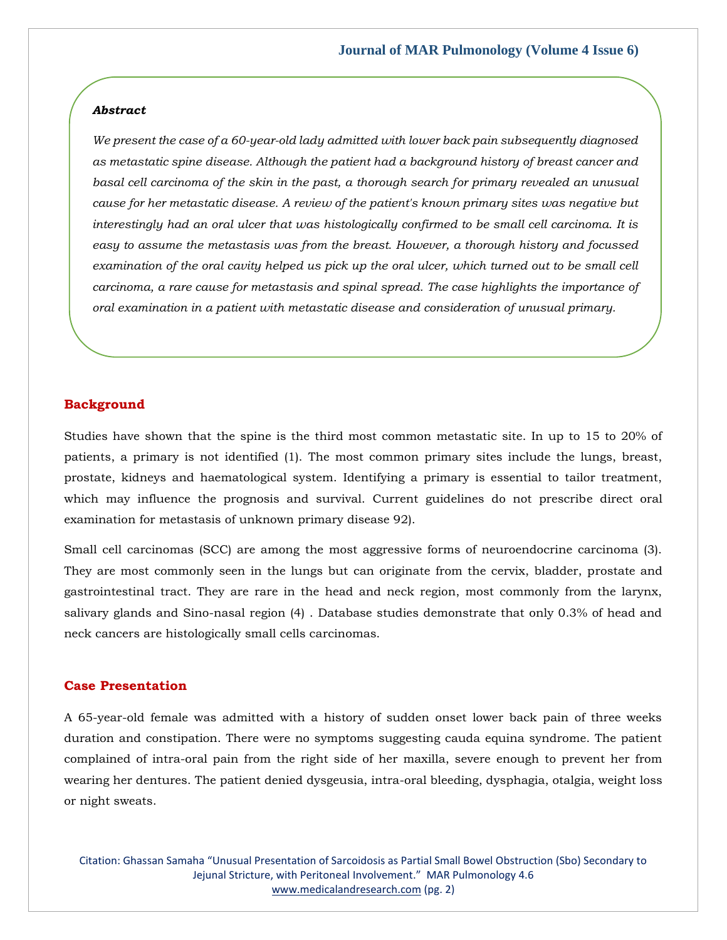#### *Abstract*

*We present the case of a 60-year-old lady admitted with lower back pain subsequently diagnosed as metastatic spine disease. Although the patient had a background history of breast cancer and basal cell carcinoma of the skin in the past, a thorough search for primary revealed an unusual cause for her metastatic disease. A review of the patient's known primary sites was negative but interestingly had an oral ulcer that was histologically confirmed to be small cell carcinoma. It is easy to assume the metastasis was from the breast. However, a thorough history and focussed examination of the oral cavity helped us pick up the oral ulcer, which turned out to be small cell carcinoma, a rare cause for metastasis and spinal spread. The case highlights the importance of oral examination in a patient with metastatic disease and consideration of unusual primary.*

#### **Background**

Studies have shown that the spine is the third most common metastatic site. In up to 15 to 20% of patients, a primary is not identified (1). The most common primary sites include the lungs, breast, prostate, kidneys and haematological system. Identifying a primary is essential to tailor treatment, which may influence the prognosis and survival. Current guidelines do not prescribe direct oral examination for metastasis of unknown primary disease 92).

Small cell carcinomas (SCC) are among the most aggressive forms of neuroendocrine carcinoma (3). They are most commonly seen in the lungs but can originate from the cervix, bladder, prostate and gastrointestinal tract. They are rare in the head and neck region, most commonly from the larynx, salivary glands and Sino-nasal region (4) . Database studies demonstrate that only 0.3% of head and neck cancers are histologically small cells carcinomas.

## **Case Presentation**

A 65-year-old female was admitted with a history of sudden onset lower back pain of three weeks duration and constipation. There were no symptoms suggesting cauda equina syndrome. The patient complained of intra-oral pain from the right side of her maxilla, severe enough to prevent her from wearing her dentures. The patient denied dysgeusia, intra-oral bleeding, dysphagia, otalgia, weight loss or night sweats.

Citation: Ghassan Samaha "Unusual Presentation of Sarcoidosis as Partial Small Bowel Obstruction (Sbo) Secondary to Jejunal Stricture, with Peritoneal Involvement." MAR Pulmonology 4.6 [www.medicalandresearch.com](http://www.medicalandresearch.com/) (pg. 2)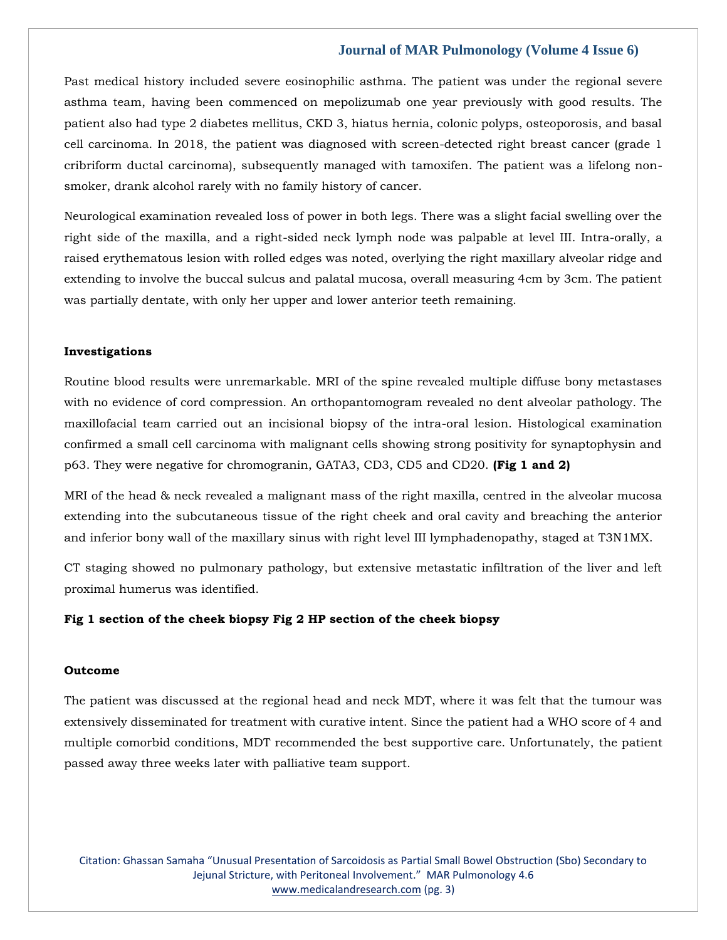### **Journal of MAR Pulmonology (Volume 4 Issue 6)**

Past medical history included severe eosinophilic asthma. The patient was under the regional severe asthma team, having been commenced on mepolizumab one year previously with good results. The patient also had type 2 diabetes mellitus, CKD 3, hiatus hernia, colonic polyps, osteoporosis, and basal cell carcinoma. In 2018, the patient was diagnosed with screen-detected right breast cancer (grade 1 cribriform ductal carcinoma), subsequently managed with tamoxifen. The patient was a lifelong nonsmoker, drank alcohol rarely with no family history of cancer.

Neurological examination revealed loss of power in both legs. There was a slight facial swelling over the right side of the maxilla, and a right-sided neck lymph node was palpable at level III. Intra-orally, a raised erythematous lesion with rolled edges was noted, overlying the right maxillary alveolar ridge and extending to involve the buccal sulcus and palatal mucosa, overall measuring 4cm by 3cm. The patient was partially dentate, with only her upper and lower anterior teeth remaining.

#### **Investigations**

Routine blood results were unremarkable. MRI of the spine revealed multiple diffuse bony metastases with no evidence of cord compression. An orthopantomogram revealed no dent alveolar pathology. The maxillofacial team carried out an incisional biopsy of the intra-oral lesion. Histological examination confirmed a small cell carcinoma with malignant cells showing strong positivity for synaptophysin and p63. They were negative for chromogranin, GATA3, CD3, CD5 and CD20. **(Fig 1 and 2)**

MRI of the head & neck revealed a malignant mass of the right maxilla, centred in the alveolar mucosa extending into the subcutaneous tissue of the right cheek and oral cavity and breaching the anterior and inferior bony wall of the maxillary sinus with right level III lymphadenopathy, staged at T3N1MX.

CT staging showed no pulmonary pathology, but extensive metastatic infiltration of the liver and left proximal humerus was identified.

#### **Fig 1 section of the cheek biopsy Fig 2 HP section of the cheek biopsy**

#### **Outcome**

The patient was discussed at the regional head and neck MDT, where it was felt that the tumour was extensively disseminated for treatment with curative intent. Since the patient had a WHO score of 4 and multiple comorbid conditions, MDT recommended the best supportive care. Unfortunately, the patient passed away three weeks later with palliative team support.

Citation: Ghassan Samaha "Unusual Presentation of Sarcoidosis as Partial Small Bowel Obstruction (Sbo) Secondary to Jejunal Stricture, with Peritoneal Involvement." MAR Pulmonology 4.6 [www.medicalandresearch.com](http://www.medicalandresearch.com/) (pg. 3)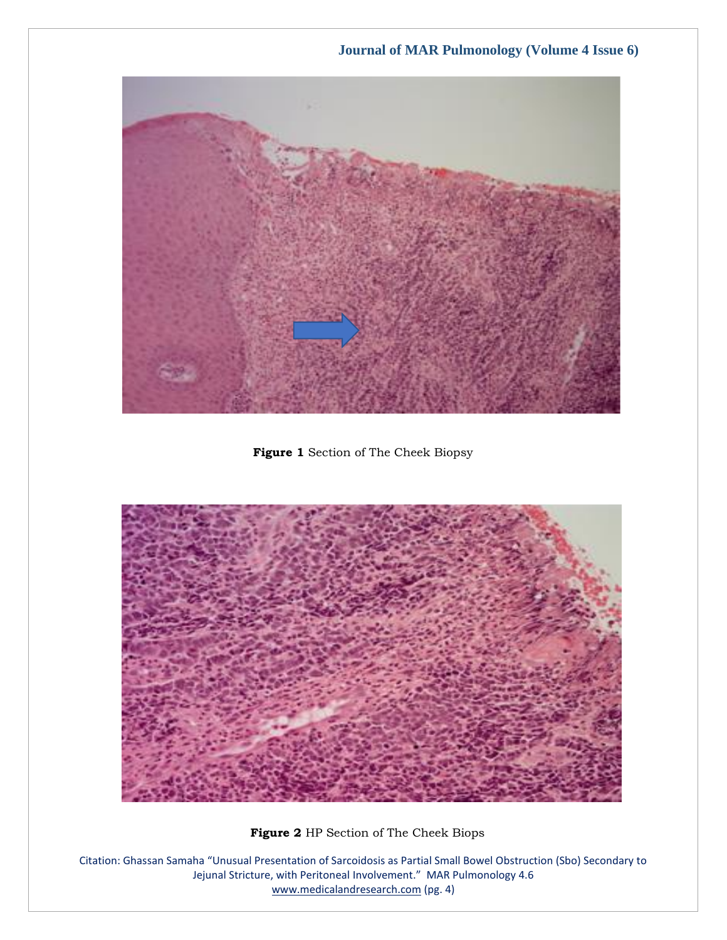

**Figure 1** Section of The Cheek Biopsy



 **Figure 2** HP Section of The Cheek Biops

Citation: Ghassan Samaha "Unusual Presentation of Sarcoidosis as Partial Small Bowel Obstruction (Sbo) Secondary to Jejunal Stricture, with Peritoneal Involvement." MAR Pulmonology 4.6 [www.medicalandresearch.com](http://www.medicalandresearch.com/) (pg. 4)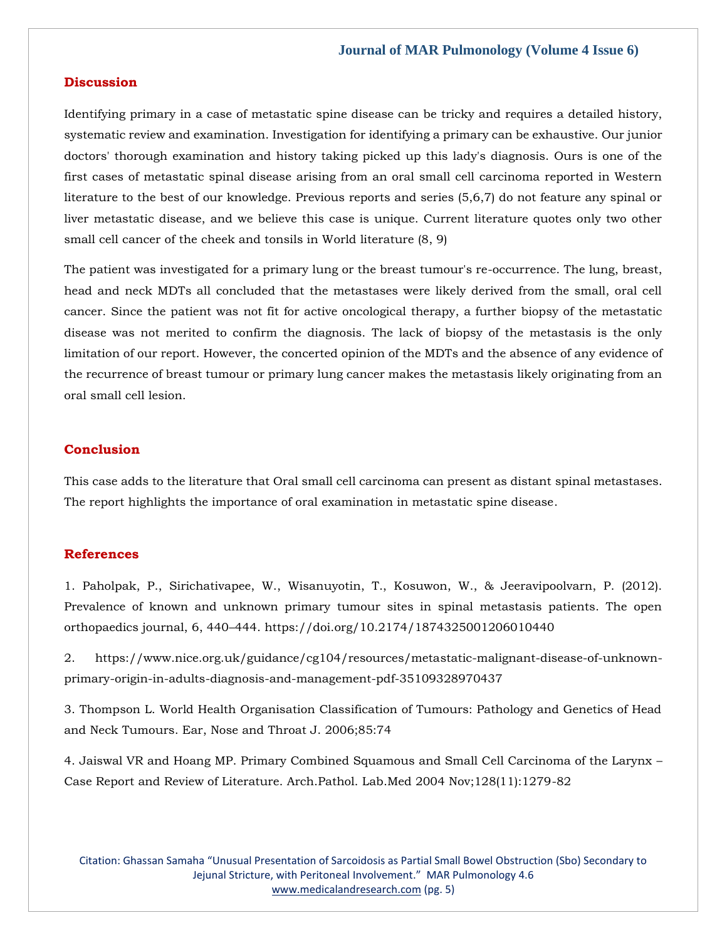#### **Journal of MAR Pulmonology (Volume 4 Issue 6)**

#### **Discussion**

Identifying primary in a case of metastatic spine disease can be tricky and requires a detailed history, systematic review and examination. Investigation for identifying a primary can be exhaustive. Our junior doctors' thorough examination and history taking picked up this lady's diagnosis. Ours is one of the first cases of metastatic spinal disease arising from an oral small cell carcinoma reported in Western literature to the best of our knowledge. Previous reports and series (5,6,7) do not feature any spinal or liver metastatic disease, and we believe this case is unique. Current literature quotes only two other small cell cancer of the cheek and tonsils in World literature (8, 9)

The patient was investigated for a primary lung or the breast tumour's re-occurrence. The lung, breast, head and neck MDTs all concluded that the metastases were likely derived from the small, oral cell cancer. Since the patient was not fit for active oncological therapy, a further biopsy of the metastatic disease was not merited to confirm the diagnosis. The lack of biopsy of the metastasis is the only limitation of our report. However, the concerted opinion of the MDTs and the absence of any evidence of the recurrence of breast tumour or primary lung cancer makes the metastasis likely originating from an oral small cell lesion.

## **Conclusion**

This case adds to the literature that Oral small cell carcinoma can present as distant spinal metastases. The report highlights the importance of oral examination in metastatic spine disease.

### **References**

[1. Paholpak, P., Sirichativapee, W., Wisanuyotin, T., Kosuwon, W., & Jeeravipoolvarn, P. \(2012\).](file:///C:/Users/Arief%20Mahimudh/Desktop/April/PY/1.%20Paholpak,%20P.,%20Sirichativapee,%20W.,%20Wisanuyotin,%20T.,%20Kosuwon,%20W.,%20&%20Jeeravipoolvarn,%20P.%20(2012).%20Prevalence%20of%20known%20and%20unknown%20primary%20tumour%20sites%20in%20spinal%20metastasis%20patients.%20The%20open%20orthopaedics%20journal,%206,%20440–444.%20https:/doi.org/10.2174/1874325001206010440)  [Prevalence of known and unknown primary tumour sites in spinal metastasis patients. The open](file:///C:/Users/Arief%20Mahimudh/Desktop/April/PY/1.%20Paholpak,%20P.,%20Sirichativapee,%20W.,%20Wisanuyotin,%20T.,%20Kosuwon,%20W.,%20&%20Jeeravipoolvarn,%20P.%20(2012).%20Prevalence%20of%20known%20and%20unknown%20primary%20tumour%20sites%20in%20spinal%20metastasis%20patients.%20The%20open%20orthopaedics%20journal,%206,%20440–444.%20https:/doi.org/10.2174/1874325001206010440)  orthopaedics journal, 6, 440–[444. https://doi.org/10.2174/1874325001206010440](file:///C:/Users/Arief%20Mahimudh/Desktop/April/PY/1.%20Paholpak,%20P.,%20Sirichativapee,%20W.,%20Wisanuyotin,%20T.,%20Kosuwon,%20W.,%20&%20Jeeravipoolvarn,%20P.%20(2012).%20Prevalence%20of%20known%20and%20unknown%20primary%20tumour%20sites%20in%20spinal%20metastasis%20patients.%20The%20open%20orthopaedics%20journal,%206,%20440–444.%20https:/doi.org/10.2174/1874325001206010440)

[2. https://www.nice.org.uk/guidance/cg104/resources/metastatic-malignant-disease-of-unknown](file:///C:/Users/Arief%20Mahimudh/Desktop/April/PY/2.%20https:/www.nice.org.uk/guidance/cg104/resources/metastatic-malignant-disease-of-unknown-primary-origin-in-adults-diagnosis-and-management-pdf-35109328970437)[primary-origin-in-adults-diagnosis-and-management-pdf-35109328970437](file:///C:/Users/Arief%20Mahimudh/Desktop/April/PY/2.%20https:/www.nice.org.uk/guidance/cg104/resources/metastatic-malignant-disease-of-unknown-primary-origin-in-adults-diagnosis-and-management-pdf-35109328970437)

[3. Thompson L. World Health Organisation Classification of Tumours: Pathology and Genetics of Head](https://www.google.com/search?q=World+Health+Organisation+Classification+of+Tumours%3A+Pathology+and+Genetics+of+Head+and+Neck+Tumours.+Ear%2C+Nose+and+Throat+&sxsrf=ALiCzsYv4LKh-m7ItSR1kLcVQmTBaFYKyQ%3A1651213326029&ei=DoRrYruzAdyP4-EPsKKu0Ao&ved=0ahUKEwi78vv90Lj3AhXcxzgGHTCRC6oQ4dUDCA4&oq=World+Health+Organisation+Classification+of+Tumours%3A+Pathology+and+Genetics+of+Head+and+Neck+Tumours.+Ear%2C+Nose+and+Throat+&gs_lcp=Cgdnd3Mtd2l6EAwyBwgjEOoCECcyBwgjEOoCECcyBwgjEOoCECcyBwgjEOoCECcyBwgjEOoCECcyBwgjEOoCECcyBwgjEOoCECcyBwgjEOoCECcyBwgjEOoCECcyBwgjEOoCECdKBAhBGABKBAhGGABQ6gJY6gJg0AdoAXABeACAAQCIAQCSAQCYAQCgAQGgAQKwAQrAAQE&sclient=gws-wiz)  [and Neck Tumours. Ear, Nose and Throat J. 2006;85:74](https://www.google.com/search?q=World+Health+Organisation+Classification+of+Tumours%3A+Pathology+and+Genetics+of+Head+and+Neck+Tumours.+Ear%2C+Nose+and+Throat+&sxsrf=ALiCzsYv4LKh-m7ItSR1kLcVQmTBaFYKyQ%3A1651213326029&ei=DoRrYruzAdyP4-EPsKKu0Ao&ved=0ahUKEwi78vv90Lj3AhXcxzgGHTCRC6oQ4dUDCA4&oq=World+Health+Organisation+Classification+of+Tumours%3A+Pathology+and+Genetics+of+Head+and+Neck+Tumours.+Ear%2C+Nose+and+Throat+&gs_lcp=Cgdnd3Mtd2l6EAwyBwgjEOoCECcyBwgjEOoCECcyBwgjEOoCECcyBwgjEOoCECcyBwgjEOoCECcyBwgjEOoCECcyBwgjEOoCECcyBwgjEOoCECcyBwgjEOoCECcyBwgjEOoCECdKBAhBGABKBAhGGABQ6gJY6gJg0AdoAXABeACAAQCIAQCSAQCYAQCgAQGgAQKwAQrAAQE&sclient=gws-wiz)

[4. Jaiswal VR and Hoang MP. Primary Combined Squamous and Small Cell Carcinoma of the Larynx](https://www.google.com/search?q=Primary+Combined+Squamous+and+Small+Cell+Carcinoma+of+the+Larynx+%E2%80%93+Case+Report+and+Review+of+Literature&sxsrf=ALiCzsYQ7jstdo5wfVe1XzQu65E2x4K0VQ%3A1651214403999&ei=Q4hrYuzRPPCf4-EPt_mniA8&ved=0ahUKEwis__3_1Lj3AhXwzzgGHbf8CfEQ4dUDCA4&oq=Primary+Combined+Squamous+and+Small+Cell+Carcinoma+of+the+Larynx+%E2%80%93+Case+Report+and+Review+of+Literature&gs_lcp=Cgdnd3Mtd2l6EAwyBwgjEOoCECcyBwgjEOoCECcyBwgjEOoCECcyBwgjEOoCECcyBwgjEOoCECcyBwgjEOoCECcyBwgjEOoCECcyBwgjEOoCECcyBwgjEOoCECcyBwgjEOoCECdKBAhBGABKBAhGGABQ5QJY5QJgswpoAXABeACAAQCIAQCSAQCYAQCgAQGgAQKwAQrAAQE&sclient=gws-wiz) – [Case Report and Review of Literature. Arch.Pathol. Lab.Med 2004 Nov;128\(11\):1279-82](https://www.google.com/search?q=Primary+Combined+Squamous+and+Small+Cell+Carcinoma+of+the+Larynx+%E2%80%93+Case+Report+and+Review+of+Literature&sxsrf=ALiCzsYQ7jstdo5wfVe1XzQu65E2x4K0VQ%3A1651214403999&ei=Q4hrYuzRPPCf4-EPt_mniA8&ved=0ahUKEwis__3_1Lj3AhXwzzgGHbf8CfEQ4dUDCA4&oq=Primary+Combined+Squamous+and+Small+Cell+Carcinoma+of+the+Larynx+%E2%80%93+Case+Report+and+Review+of+Literature&gs_lcp=Cgdnd3Mtd2l6EAwyBwgjEOoCECcyBwgjEOoCECcyBwgjEOoCECcyBwgjEOoCECcyBwgjEOoCECcyBwgjEOoCECcyBwgjEOoCECcyBwgjEOoCECcyBwgjEOoCECcyBwgjEOoCECdKBAhBGABKBAhGGABQ5QJY5QJgswpoAXABeACAAQCIAQCSAQCYAQCgAQGgAQKwAQrAAQE&sclient=gws-wiz)

Citation: Ghassan Samaha "Unusual Presentation of Sarcoidosis as Partial Small Bowel Obstruction (Sbo) Secondary to Jejunal Stricture, with Peritoneal Involvement." MAR Pulmonology 4.6 [www.medicalandresearch.com](http://www.medicalandresearch.com/) (pg. 5)